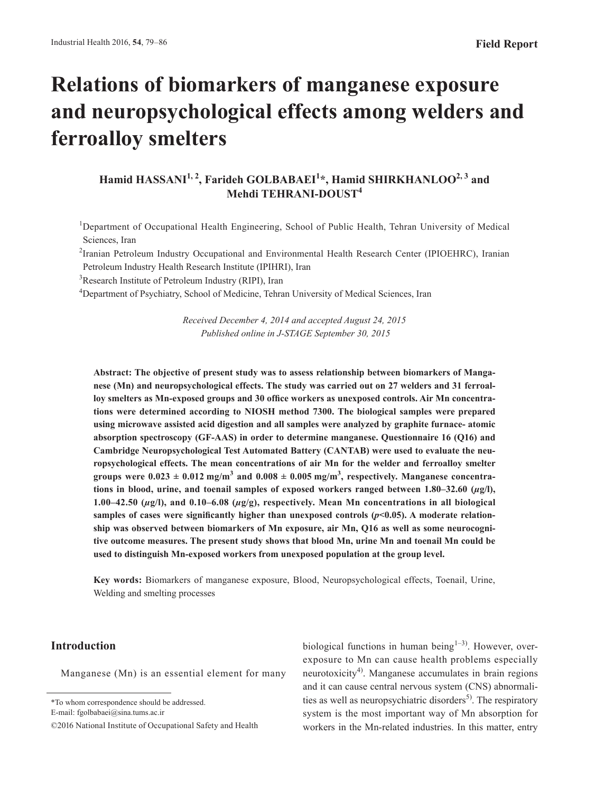# **Relations of biomarkers of manganese exposure and neuropsychological effects among welders and ferroalloy smelters**

## Hamid HASSANI<sup>1, 2</sup>, Farideh GOLBABAEI<sup>1</sup>\*, Hamid SHIRKHANLOO<sup>2, 3</sup> and **Mehdi TEHRANI-DOUST<sup>4</sup>**

<sup>1</sup>Department of Occupational Health Engineering, School of Public Health, Tehran University of Medical Sciences, Iran

<sup>2</sup> Iranian Petroleum Industry Occupational and Environmental Health Research Center (IPIOEHRC), Iranian Petroleum Industry Health Research Institute (IPIHRI), Iran

<sup>3</sup>Research Institute of Petroleum Industry (RIPI), Iran

<sup>4</sup>Department of Psychiatry, School of Medicine, Tehran University of Medical Sciences, Iran

*Received December 4, 2014 and accepted August 24, 2015 Published online in J-STAGE September 30, 2015*

**Abstract: The objective of present study was to assess relationship between biomarkers of Manganese (Mn) and neuropsychological effects. The study was carried out on 27 welders and 31 ferroalloy smelters as Mn-exposed groups and 30 office workers as unexposed controls. Air Mn concentrations were determined according to NIOSH method 7300. The biological samples were prepared using microwave assisted acid digestion and all samples were analyzed by graphite furnace- atomic absorption spectroscopy (GF-AAS) in order to determine manganese. Questionnaire 16 (Q16) and Cambridge Neuropsychological Test Automated Battery (CANTAB) were used to evaluate the neuropsychological effects. The mean concentrations of air Mn for the welder and ferroalloy smelter**  groups were  $0.023 \pm 0.012$   $\text{mg/m}^3$  and  $0.008 \pm 0.005$   $\text{mg/m}^3$ , respectively. Manganese concentra**tions in blood, urine, and toenail samples of exposed workers ranged between 1.80–32.60 (***µ***g/l), 1.00–42.50 (***µ***g/l), and 0.10–6.08 (***µ***g/g), respectively. Mean Mn concentrations in all biological**  samples of cases were significantly higher than unexposed controls  $(p<0.05)$ . A moderate relation**ship was observed between biomarkers of Mn exposure, air Mn, Q16 as well as some neurocognitive outcome measures. The present study shows that blood Mn, urine Mn and toenail Mn could be used to distinguish Mn-exposed workers from unexposed population at the group level.**

**Key words:** Biomarkers of manganese exposure, Blood, Neuropsychological effects, Toenail, Urine, Welding and smelting processes

## **Introduction**

Manganese (Mn) is an essential element for many

E-mail: fgolbabaei@sina.tums.ac.ir

biological functions in human being $1-3$ ). However, overexposure to Mn can cause health problems especially neurotoxicity<sup>4)</sup>. Manganese accumulates in brain regions and it can cause central nervous system (CNS) abnormalities as well as neuropsychiatric disorders<sup>5)</sup>. The respiratory system is the most important way of Mn absorption for workers in the Mn-related industries. In this matter, entry

<sup>\*</sup>To whom correspondence should be addressed.

<sup>©2016</sup> National Institute of Occupational Safety and Health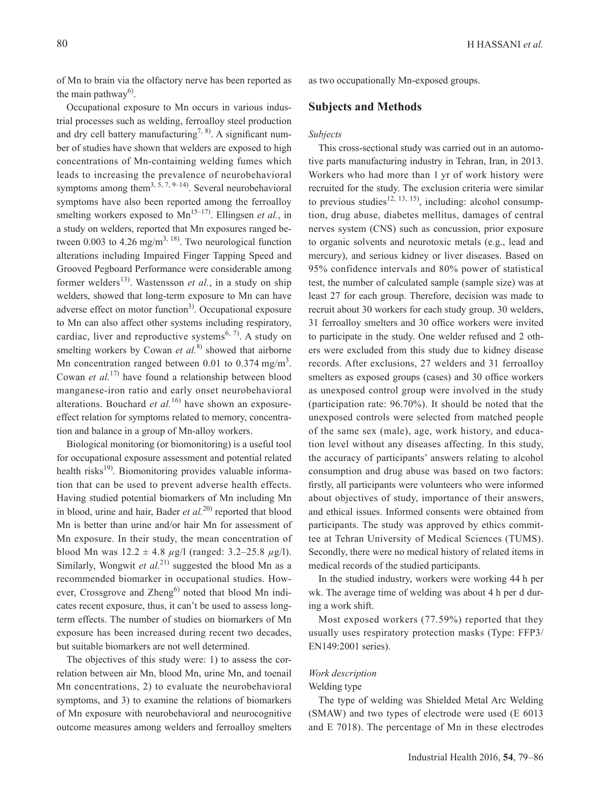Occupational exposure to Mn occurs in various industrial processes such as welding, ferroalloy steel production and dry cell battery manufacturing<sup>7, 8)</sup>. A significant number of studies have shown that welders are exposed to high concentrations of Mn-containing welding fumes which leads to increasing the prevalence of neurobehavioral symptoms among them<sup>3, 5, 7, 9–14)</sup>. Several neurobehavioral symptoms have also been reported among the ferroalloy smelting workers exposed to  $Mn^{15-17}$ . Ellingsen *et al.*, in a study on welders, reported that Mn exposures ranged between 0.003 to 4.26 mg/m<sup>3, 18)</sup>. Two neurological function alterations including Impaired Finger Tapping Speed and Grooved Pegboard Performance were considerable among former welders<sup>13)</sup>. Wastensson *et al.*, in a study on ship welders, showed that long-term exposure to Mn can have adverse effect on motor function<sup>3)</sup>. Occupational exposure to Mn can also affect other systems including respiratory, cardiac, liver and reproductive systems<sup> $6, 7$ </sup>. A study on smelting workers by Cowan *et al.*<sup>8)</sup> showed that airborne Mn concentration ranged between 0.01 to 0.374 mg/m<sup>3</sup>. Cowan *et al.*17) have found a relationship between blood manganese-iron ratio and early onset neurobehavioral alterations. Bouchard *et al.*<sup>16)</sup> have shown an exposureeffect relation for symptoms related to memory, concentration and balance in a group of Mn-alloy workers.

Biological monitoring (or biomonitoring) is a useful tool for occupational exposure assessment and potential related health risks $^{19}$ . Biomonitoring provides valuable information that can be used to prevent adverse health effects. Having studied potential biomarkers of Mn including Mn in blood, urine and hair, Bader *et al.*20) reported that blood Mn is better than urine and/or hair Mn for assessment of Mn exposure. In their study, the mean concentration of blood Mn was 12.2 ± 4.8 *µ*g/l (ranged: 3.2–25.8 *µ*g/l). Similarly, Wongwit *et al.*<sup>21)</sup> suggested the blood Mn as a recommended biomarker in occupational studies. However, Crossgrove and Zheng $^{6)}$  noted that blood Mn indicates recent exposure, thus, it can't be used to assess longterm effects. The number of studies on biomarkers of Mn exposure has been increased during recent two decades, but suitable biomarkers are not well determined.

The objectives of this study were: 1) to assess the correlation between air Mn, blood Mn, urine Mn, and toenail Mn concentrations, 2) to evaluate the neurobehavioral symptoms, and 3) to examine the relations of biomarkers of Mn exposure with neurobehavioral and neurocognitive outcome measures among welders and ferroalloy smelters as two occupationally Mn-exposed groups.

## **Subjects and Methods**

#### *Subjects*

This cross-sectional study was carried out in an automotive parts manufacturing industry in Tehran, Iran, in 2013. Workers who had more than 1 yr of work history were recruited for the study. The exclusion criteria were similar to previous studies<sup>12, 13, 15)</sup>, including: alcohol consumption, drug abuse, diabetes mellitus, damages of central nerves system (CNS) such as concussion, prior exposure to organic solvents and neurotoxic metals (e.g., lead and mercury), and serious kidney or liver diseases. Based on 95% confidence intervals and 80% power of statistical test, the number of calculated sample (sample size) was at least 27 for each group. Therefore, decision was made to recruit about 30 workers for each study group. 30 welders, 31 ferroalloy smelters and 30 office workers were invited to participate in the study. One welder refused and 2 others were excluded from this study due to kidney disease records. After exclusions, 27 welders and 31 ferroalloy smelters as exposed groups (cases) and 30 office workers as unexposed control group were involved in the study (participation rate: 96.70%). It should be noted that the unexposed controls were selected from matched people of the same sex (male), age, work history, and education level without any diseases affecting. In this study, the accuracy of participants' answers relating to alcohol consumption and drug abuse was based on two factors: firstly, all participants were volunteers who were informed about objectives of study, importance of their answers, and ethical issues. Informed consents were obtained from participants. The study was approved by ethics committee at Tehran University of Medical Sciences (TUMS). Secondly, there were no medical history of related items in medical records of the studied participants.

In the studied industry, workers were working 44 h per wk. The average time of welding was about 4 h per d during a work shift.

Most exposed workers (77.59%) reported that they usually uses respiratory protection masks (Type: FFP3/ EN149:2001 series).

## *Work description*

#### Welding type

The type of welding was Shielded Metal Arc Welding (SMAW) and two types of electrode were used (E 6013 and E 7018). The percentage of Mn in these electrodes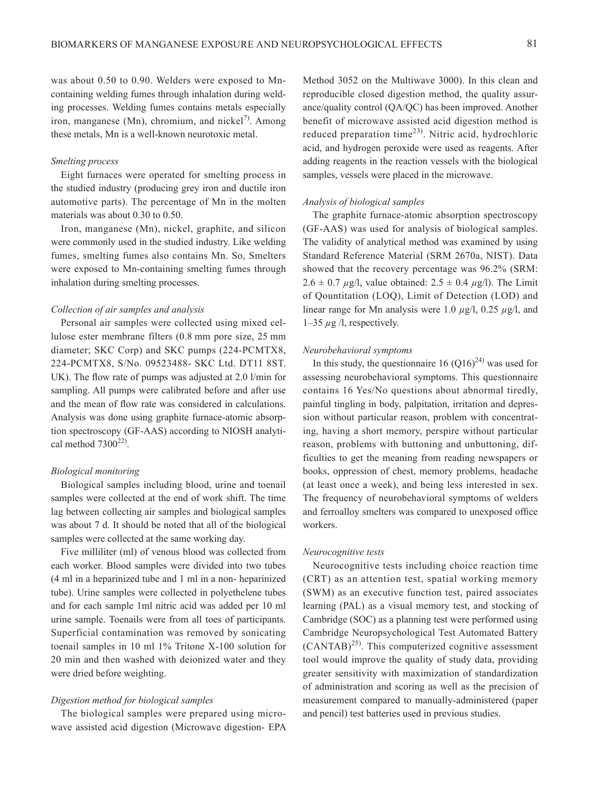was about 0.50 to 0.90. Welders were exposed to Mncontaining welding fumes through inhalation during welding processes. Welding fumes contains metals especially iron, manganese (Mn), chromium, and nickel<sup>7)</sup>. Among these metals, Mn is a well-known neurotoxic metal.

#### *Smelting process*

Eight furnaces were operated for smelting process in the studied industry (producing grey iron and ductile iron automotive parts). The percentage of Mn in the molten materials was about 0.30 to 0.50.

Iron, manganese (Mn), nickel, graphite, and silicon were commonly used in the studied industry. Like welding fumes, smelting fumes also contains Mn. So, Smelters were exposed to Mn-containing smelting fumes through inhalation during smelting processes.

#### *Collection of air samples and analysis*

Personal air samples were collected using mixed cellulose ester membrane filters (0.8 mm pore size, 25 mm diameter; SKC Corp) and SKC pumps (224-PCMTX8, 224-PCMTX8, S/No. 09523488- SKC Ltd. DT11 8ST. UK). The flow rate of pumps was adjusted at 2.0 l/min for sampling. All pumps were calibrated before and after use and the mean of flow rate was considered in calculations. Analysis was done using graphite furnace-atomic absorption spectroscopy (GF-AAS) according to NIOSH analytical method  $7300^{22}$ .

## *Biological monitoring*

Biological samples including blood, urine and toenail samples were collected at the end of work shift. The time lag between collecting air samples and biological samples was about 7 d. It should be noted that all of the biological samples were collected at the same working day.

Five milliliter (ml) of venous blood was collected from each worker. Blood samples were divided into two tubes (4 ml in a heparinized tube and 1 ml in a non- heparinized tube). Urine samples were collected in polyethelene tubes and for each sample 1ml nitric acid was added per 10 ml urine sample. Toenails were from all toes of participants. Superficial contamination was removed by sonicating toenail samples in 10 ml 1% Tritone X-100 solution for 20 min and then washed with deionized water and they were dried before weighting.

#### *Digestion method for biological samples*

The biological samples were prepared using microwave assisted acid digestion (Microwave digestion- EPA

Method 3052 on the Multiwave 3000). In this clean and reproducible closed digestion method, the quality assurance/quality control (QA/QC) has been improved. Another benefit of microwave assisted acid digestion method is reduced preparation time $^{23)}$ . Nitric acid, hydrochloric acid, and hydrogen peroxide were used as reagents. After adding reagents in the reaction vessels with the biological samples, vessels were placed in the microwave.

#### *Analysis of biological samples*

The graphite furnace-atomic absorption spectroscopy (GF-AAS) was used for analysis of biological samples. The validity of analytical method was examined by using Standard Reference Material (SRM 2670a, NIST). Data showed that the recovery percentage was 96.2% (SRM:  $2.6 \pm 0.7 \mu$ g/l, value obtained:  $2.5 \pm 0.4 \mu$ g/l). The Limit of Qountitation (LOQ), Limit of Detection (LOD) and linear range for Mn analysis were 1.0 *µ*g/l, 0.25 *µ*g/l, and 1–35 *µ*g /l, respectively.

#### *Neurobehavioral symptoms*

In this study, the questionnaire 16  $(0.016)^{24}$  was used for assessing neurobehavioral symptoms. This questionnaire contains 16 Yes/No questions about abnormal tiredly, painful tingling in body, palpitation, irritation and depression without particular reason, problem with concentrating, having a short memory, perspire without particular reason, problems with buttoning and unbuttoning, difficulties to get the meaning from reading newspapers or books, oppression of chest, memory problems, headache (at least once a week), and being less interested in sex. The frequency of neurobehavioral symptoms of welders and ferroalloy smelters was compared to unexposed office workers.

#### *Neurocognitive tests*

Neurocognitive tests including choice reaction time (CRT) as an attention test, spatial working memory (SWM) as an executive function test, paired associates learning (PAL) as a visual memory test, and stocking of Cambridge (SOC) as a planning test were performed using Cambridge Neuropsychological Test Automated Battery  $(CANTAB)^{25}$ . This computerized cognitive assessment tool would improve the quality of study data, providing greater sensitivity with maximization of standardization of administration and scoring as well as the precision of measurement compared to manually-administered (paper and pencil) test batteries used in previous studies.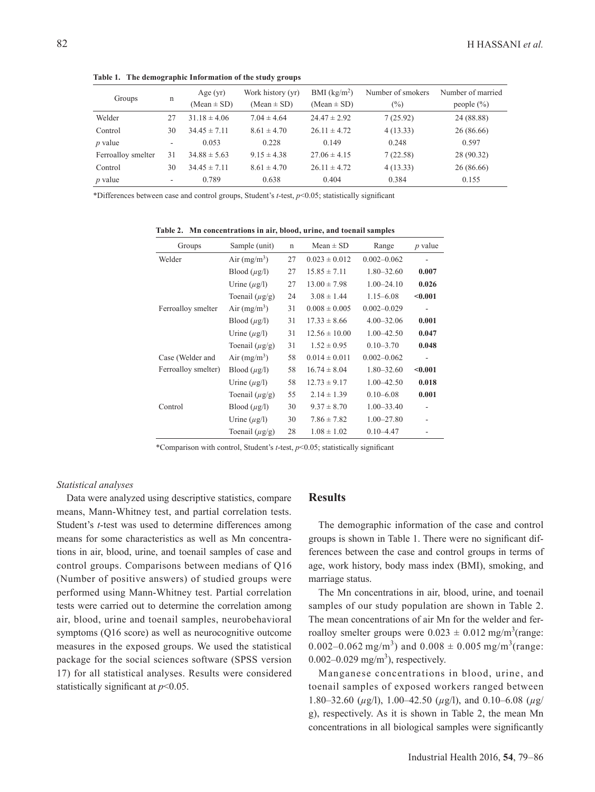| Groups             | n  | Age $(yr)$<br>$(Mean \pm SD)$ | Work history (yr)<br>$(Mean \pm SD)$ | BMI (kg/m <sup>2</sup> )<br>$(Mean \pm SD)$ | Number of smokers<br>$(\%)$ | Number of married<br>people $(\% )$ |
|--------------------|----|-------------------------------|--------------------------------------|---------------------------------------------|-----------------------------|-------------------------------------|
| Welder             | 27 | $31.18 \pm 4.06$              | $7.04 \pm 4.64$                      | $24.47 \pm 2.92$                            | 7(25.92)                    | 24 (88.88)                          |
| Control            | 30 | $34.45 \pm 7.11$              | $8.61 \pm 4.70$                      | $26.11 \pm 4.72$                            | 4(13.33)                    | 26 (86.66)                          |
| $p$ value          | ۰  | 0.053                         | 0.228                                | 0.149                                       | 0.248                       | 0.597                               |
| Ferroalloy smelter | 31 | $34.88 \pm 5.63$              | $9.15 \pm 4.38$                      | $27.06 \pm 4.15$                            | 7(22.58)                    | 28 (90.32)                          |
| Control            | 30 | $34.45 \pm 7.11$              | $8.61 \pm 4.70$                      | $26.11 \pm 4.72$                            | 4(13.33)                    | 26 (86.66)                          |
| $p$ value          | ۰  | 0.789                         | 0.638                                | 0.404                                       | 0.384                       | 0.155                               |

**Table 1. The demographic Information of the study groups**

\*Differences between case and control groups, Student's *t*-test, *p*<0.05; statistically significant

| Groups              | Sample (unit)       | $\mathbf n$ | $Mean \pm SD$     | Range           | $p$ value |
|---------------------|---------------------|-------------|-------------------|-----------------|-----------|
| Welder              | Air $(mg/m^3)$      | 27          | $0.023 \pm 0.012$ | $0.002 - 0.062$ |           |
|                     | Blood $(\mu g/l)$   | 27          | $15.85 \pm 7.11$  | $1.80 - 32.60$  | 0.007     |
|                     | Urine $(\mu g/l)$   | 27          | $13.00 \pm 7.98$  | $1.00 - 24.10$  | 0.026     |
|                     | Toenail $(\mu g/g)$ | 24          | $3.08 \pm 1.44$   | $1.15 - 6.08$   | < 0.001   |
| Ferroalloy smelter  | Air $(mg/m^3)$      | 31          | $0.008 \pm 0.005$ | $0.002 - 0.029$ |           |
|                     | Blood $(\mu g/l)$   | 31          | $17.33 \pm 8.66$  | $4.00 - 32.06$  | 0.001     |
|                     | Urine $(\mu g/l)$   | 31          | $12.56 \pm 10.00$ | $1.00 - 42.50$  | 0.047     |
|                     | Toenail $(\mu g/g)$ | 31          | $1.52 \pm 0.95$   | $0.10 - 3.70$   | 0.048     |
| Case (Welder and    | Air $(mg/m^3)$      | 58          | $0.014 \pm 0.011$ | $0.002 - 0.062$ |           |
| Ferroalloy smelter) | Blood $(\mu$ g/l)   | 58          | $16.74 \pm 8.04$  | $1.80 - 32.60$  | < 0.001   |
|                     | Urine $(\mu g/l)$   | 58          | $12.73 \pm 9.17$  | 1.00-42.50      | 0.018     |
|                     | Toenail $(\mu g/g)$ | 55          | $2.14 \pm 1.39$   | $0.10 - 6.08$   | 0.001     |
| Control             | Blood $(\mu g/l)$   | 30          | $9.37 \pm 8.70$   | $1.00 - 33.40$  |           |
|                     | Urine $(\mu g/l)$   | 30          | $7.86 \pm 7.82$   | $1.00 - 27.80$  |           |
|                     | Toenail $(\mu g/g)$ | 28          | $1.08 \pm 1.02$   | $0.10 - 4.47$   |           |

**Table 2. Mn concentrations in air, blood, urine, and toenail samples**

\*Comparison with control, Student's *t*-test, *p*<0.05; statistically significant

#### *Statistical analyses*

Data were analyzed using descriptive statistics, compare means, Mann-Whitney test, and partial correlation tests. Student's *t*-test was used to determine differences among means for some characteristics as well as Mn concentrations in air, blood, urine, and toenail samples of case and control groups. Comparisons between medians of Q16 (Number of positive answers) of studied groups were performed using Mann-Whitney test. Partial correlation tests were carried out to determine the correlation among air, blood, urine and toenail samples, neurobehavioral symptoms (Q16 score) as well as neurocognitive outcome measures in the exposed groups. We used the statistical package for the social sciences software (SPSS version 17) for all statistical analyses. Results were considered statistically significant at *p*<0.05.

#### **Results**

The demographic information of the case and control groups is shown in Table 1. There were no significant differences between the case and control groups in terms of age, work history, body mass index (BMI), smoking, and marriage status.

The Mn concentrations in air, blood, urine, and toenail samples of our study population are shown in Table 2. The mean concentrations of air Mn for the welder and ferroalloy smelter groups were  $0.023 \pm 0.012$  mg/m<sup>3</sup>(range: 0.002–0.062 mg/m<sup>3</sup>) and  $0.008 \pm 0.005$  mg/m<sup>3</sup>(range:  $0.002 - 0.029$  mg/m<sup>3</sup>), respectively.

Manganese concentrations in blood, urine, and toenail samples of exposed workers ranged between 1.80–32.60 (*µ*g/l), 1.00–42.50 (*µ*g/l), and 0.10–6.08 (*µ*g/ g), respectively. As it is shown in Table 2, the mean Mn concentrations in all biological samples were significantly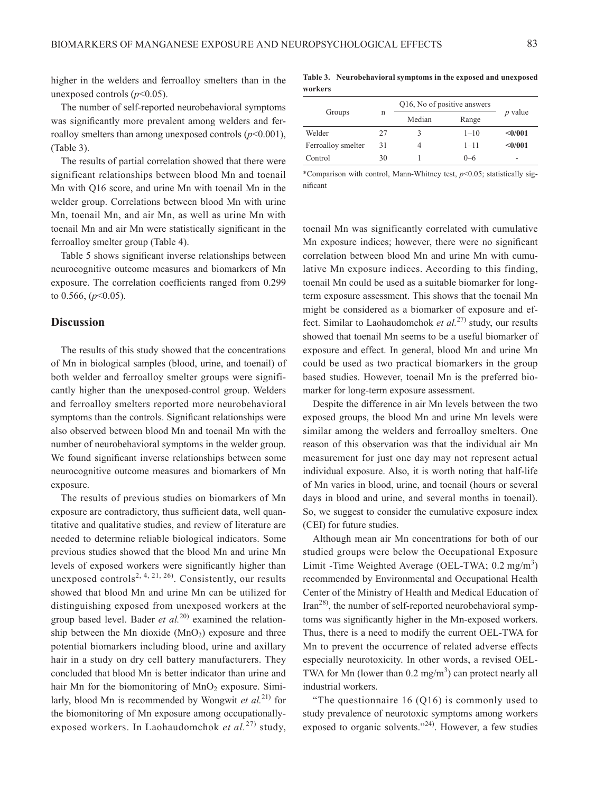higher in the welders and ferroalloy smelters than in the unexposed controls (*p*<0.05).

The number of self-reported neurobehavioral symptoms was significantly more prevalent among welders and ferroalloy smelters than among unexposed controls  $(p<0.001)$ , (Table 3).

The results of partial correlation showed that there were significant relationships between blood Mn and toenail Mn with Q16 score, and urine Mn with toenail Mn in the welder group. Correlations between blood Mn with urine Mn, toenail Mn, and air Mn, as well as urine Mn with toenail Mn and air Mn were statistically significant in the ferroalloy smelter group (Table 4).

Table 5 shows significant inverse relationships between neurocognitive outcome measures and biomarkers of Mn exposure. The correlation coefficients ranged from 0.299 to 0.566, (*p*<0.05).

## **Discussion**

The results of this study showed that the concentrations of Mn in biological samples (blood, urine, and toenail) of both welder and ferroalloy smelter groups were significantly higher than the unexposed-control group. Welders and ferroalloy smelters reported more neurobehavioral symptoms than the controls. Significant relationships were also observed between blood Mn and toenail Mn with the number of neurobehavioral symptoms in the welder group. We found significant inverse relationships between some neurocognitive outcome measures and biomarkers of Mn exposure.

The results of previous studies on biomarkers of Mn exposure are contradictory, thus sufficient data, well quantitative and qualitative studies, and review of literature are needed to determine reliable biological indicators. Some previous studies showed that the blood Mn and urine Mn levels of exposed workers were significantly higher than unexposed controls<sup>2, 4, 21, 26)</sup>. Consistently, our results showed that blood Mn and urine Mn can be utilized for distinguishing exposed from unexposed workers at the group based level. Bader *et al.*20) examined the relationship between the Mn dioxide  $(MnO<sub>2</sub>)$  exposure and three potential biomarkers including blood, urine and axillary hair in a study on dry cell battery manufacturers. They concluded that blood Mn is better indicator than urine and hair Mn for the biomonitoring of  $MnO<sub>2</sub>$  exposure. Similarly, blood Mn is recommended by Wongwit *et al.*21) for the biomonitoring of Mn exposure among occupationallyexposed workers. In Laohaudomchok *et al.*27) study,

**Table 3. Neurobehavioral symptoms in the exposed and unexposed workers**

|                    |    | Q16, No of positive answers |          |                |
|--------------------|----|-----------------------------|----------|----------------|
| Groups             | n  | Median                      | Range    | <i>p</i> value |
| Welder             | 27 |                             | $1 - 10$ | <0/001         |
| Ferroalloy smelter | 31 |                             | $1 - 11$ | <0/001         |
| Control            | 30 |                             | $() - 6$ | -              |

\*Comparison with control, Mann-Whitney test, *p*<0.05; statistically significant

toenail Mn was significantly correlated with cumulative Mn exposure indices; however, there were no significant correlation between blood Mn and urine Mn with cumulative Mn exposure indices. According to this finding, toenail Mn could be used as a suitable biomarker for longterm exposure assessment. This shows that the toenail Mn might be considered as a biomarker of exposure and effect. Similar to Laohaudomchok *et al.*27) study, our results showed that toenail Mn seems to be a useful biomarker of exposure and effect. In general, blood Mn and urine Mn could be used as two practical biomarkers in the group based studies. However, toenail Mn is the preferred biomarker for long-term exposure assessment.

Despite the difference in air Mn levels between the two exposed groups, the blood Mn and urine Mn levels were similar among the welders and ferroalloy smelters. One reason of this observation was that the individual air Mn measurement for just one day may not represent actual individual exposure. Also, it is worth noting that half-life of Mn varies in blood, urine, and toenail (hours or several days in blood and urine, and several months in toenail). So, we suggest to consider the cumulative exposure index (CEI) for future studies.

Although mean air Mn concentrations for both of our studied groups were below the Occupational Exposure Limit -Time Weighted Average (OEL-TWA;  $0.2 \text{ mg/m}^3$ ) recommended by Environmental and Occupational Health Center of the Ministry of Health and Medical Education of Iran28), the number of self-reported neurobehavioral symptoms was significantly higher in the Mn-exposed workers. Thus, there is a need to modify the current OEL-TWA for Mn to prevent the occurrence of related adverse effects especially neurotoxicity. In other words, a revised OEL-TWA for Mn (lower than  $0.2 \text{ mg/m}^3$ ) can protect nearly all industrial workers.

"The questionnaire  $16 \left( \frac{Q16}{Q} \right)$  is commonly used to study prevalence of neurotoxic symptoms among workers exposed to organic solvents."24). However, a few studies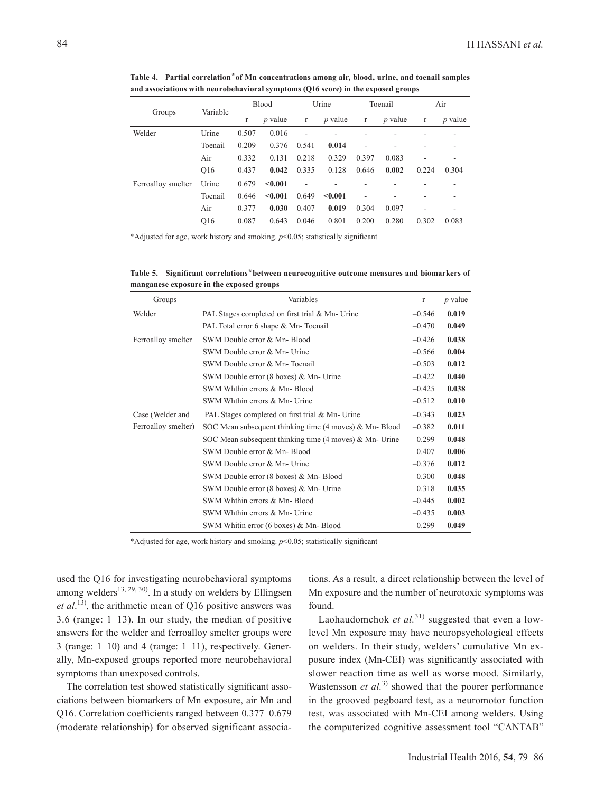| and associations with neurobehavioral symptoms (Q16 score) in the exposed groups |          |              |                |       |                |         |                |              |                |
|----------------------------------------------------------------------------------|----------|--------------|----------------|-------|----------------|---------|----------------|--------------|----------------|
| Groups                                                                           |          | <b>Blood</b> |                | Urine |                | Toenail |                | Air          |                |
|                                                                                  | Variable |              | <i>p</i> value | r     | <i>p</i> value | r       | <i>p</i> value | $\mathbf{r}$ | <i>p</i> value |
| Welder                                                                           | Urine    | 0.507        | 0.016          | ۰     | ۰              |         |                |              |                |
|                                                                                  | Toenail  | 0.209        | 0.376          | 0.541 | 0.014          |         |                |              |                |
|                                                                                  | Air      | 0.332        | 0.131          | 0.218 | 0.329          | 0.397   | 0.083          |              |                |

Ferroalloy smelter Urine  $0.679$  <0.001 - - - - -

Table 4. Partial correlation<sup>\*</sup> of Mn concentrations among air, blood, urine, and toenail samples **and associations with neurobehavioral symptoms (Q16 score) in the exposed groups**

Q16 0.437 **0.042** 0.335 0.128 0.646 **0.002** 0.224 0.304

Toenail 0.646 **<0.001** 0.649 **<0.001** - - - - Air 0.377 **0.030** 0.407 **0.019** 0.304 0.097 - - Q16 0.087 0.643 0.046 0.801 0.200 0.280 0.302 0.083

\*Adjusted for age, work history and smoking. *p*<0.05; statistically significant

Table 5. Significant correlations<sup>\*</sup> between neurocognitive outcome measures and biomarkers of **manganese exposure in the exposed groups**

| Groups              | Variables                                                        | r        | $p$ value |
|---------------------|------------------------------------------------------------------|----------|-----------|
| Welder              | PAL Stages completed on first trial & Mn- Urine                  | $-0.546$ | 0.019     |
|                     | PAL Total error 6 shape & Mn-Toenail                             | $-0.470$ | 0.049     |
| Ferroalloy smelter  | SWM Double error & Mn-Blood                                      | $-0.426$ | 0.038     |
|                     | SWM Double error & Mn- Urine                                     | $-0.566$ | 0.004     |
|                     | SWM Double error & Mn-Toenail                                    | $-0.503$ | 0.012     |
|                     | SWM Double error (8 boxes) & Mn- Urine                           | $-0.422$ | 0.040     |
|                     | SWM Whthin errors & Mn-Blood                                     | $-0.425$ | 0.038     |
|                     | SWM Whthin errors & Mn- Urine                                    | $-0.512$ | 0.010     |
| Case (Welder and    | PAL Stages completed on first trial & Mn- Urine                  | $-0.343$ | 0.023     |
| Ferroalloy smelter) | SOC Mean subsequent thinking time $(4 \text{ moves})$ & Mn-Blood | $-0.382$ | 0.011     |
|                     | SOC Mean subsequent thinking time $(4 \text{ moves})$ & Mn-Urine | $-0.299$ | 0.048     |
|                     | SWM Double error & Mn-Blood                                      | $-0.407$ | 0.006     |
|                     | SWM Double error & Mn- Urine                                     | $-0.376$ | 0.012     |
|                     | SWM Double error (8 boxes) & Mn-Blood                            | $-0.300$ | 0.048     |
|                     | SWM Double error (8 boxes) & Mn- Urine                           | $-0.318$ | 0.035     |
|                     | SWM Whthin errors & Mn-Blood                                     | $-0.445$ | 0.002     |
|                     | SWM Whthin errors & Mn- Urine                                    | $-0.435$ | 0.003     |
|                     | SWM Whitin error (6 boxes) & Mn-Blood                            | $-0.299$ | 0.049     |

\*Adjusted for age, work history and smoking. *p*<0.05; statistically significant

used the Q16 for investigating neurobehavioral symptoms among welders<sup>13, 29, 30)</sup>. In a study on welders by Ellingsen *et al*. 13), the arithmetic mean of Q16 positive answers was 3.6 (range: 1–13). In our study, the median of positive answers for the welder and ferroalloy smelter groups were 3 (range: 1–10) and 4 (range: 1–11), respectively. Generally, Mn-exposed groups reported more neurobehavioral symptoms than unexposed controls.

The correlation test showed statistically significant associations between biomarkers of Mn exposure, air Mn and Q16. Correlation coefficients ranged between 0.377–0.679 (moderate relationship) for observed significant associations. As a result, a direct relationship between the level of Mn exposure and the number of neurotoxic symptoms was found.

Laohaudomchok *et al.*<sup>31)</sup> suggested that even a lowlevel Mn exposure may have neuropsychological effects on welders. In their study, welders' cumulative Mn exposure index (Mn-CEI) was significantly associated with slower reaction time as well as worse mood. Similarly, Wastensson *et al.*<sup>3)</sup> showed that the poorer performance in the grooved pegboard test, as a neuromotor function test, was associated with Mn-CEI among welders. Using the computerized cognitive assessment tool "CANTAB"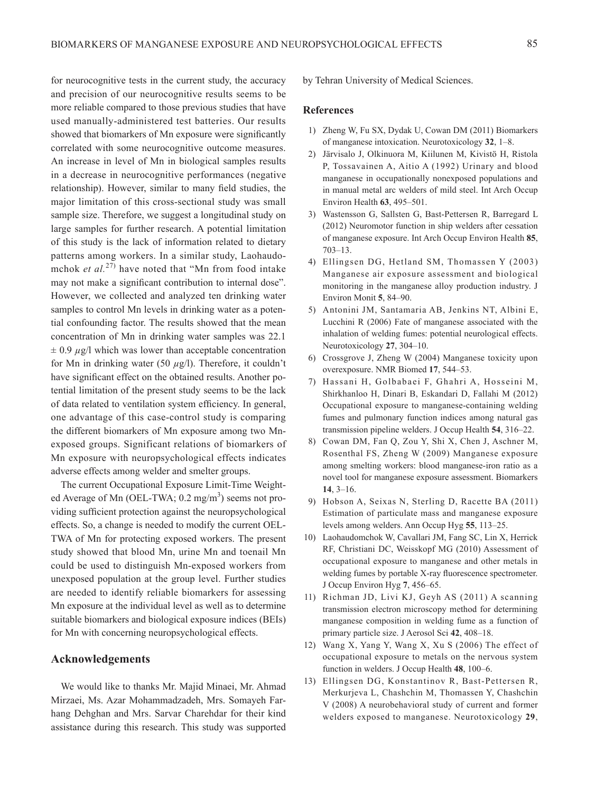for neurocognitive tests in the current study, the accuracy and precision of our neurocognitive results seems to be more reliable compared to those previous studies that have used manually-administered test batteries. Our results showed that biomarkers of Mn exposure were significantly correlated with some neurocognitive outcome measures. An increase in level of Mn in biological samples results in a decrease in neurocognitive performances (negative relationship). However, similar to many field studies, the major limitation of this cross-sectional study was small sample size. Therefore, we suggest a longitudinal study on large samples for further research. A potential limitation of this study is the lack of information related to dietary patterns among workers. In a similar study, Laohaudomchok *et al.*27) have noted that "Mn from food intake may not make a significant contribution to internal dose". However, we collected and analyzed ten drinking water samples to control Mn levels in drinking water as a potential confounding factor. The results showed that the mean concentration of Mn in drinking water samples was 22.1  $\pm$  0.9  $\mu$ g/l which was lower than acceptable concentration for Mn in drinking water (50  $\mu$ g/l). Therefore, it couldn't have significant effect on the obtained results. Another potential limitation of the present study seems to be the lack of data related to ventilation system efficiency. In general, one advantage of this case-control study is comparing the different biomarkers of Mn exposure among two Mnexposed groups. Significant relations of biomarkers of Mn exposure with neuropsychological effects indicates adverse effects among welder and smelter groups.

The current Occupational Exposure Limit-Time Weighted Average of Mn (OEL-TWA; 0.2 mg/m<sup>3</sup>) seems not providing sufficient protection against the neuropsychological effects. So, a change is needed to modify the current OEL-TWA of Mn for protecting exposed workers. The present study showed that blood Mn, urine Mn and toenail Mn could be used to distinguish Mn-exposed workers from unexposed population at the group level. Further studies are needed to identify reliable biomarkers for assessing Mn exposure at the individual level as well as to determine suitable biomarkers and biological exposure indices (BEIs) for Mn with concerning neuropsychological effects.

#### **Acknowledgements**

We would like to thanks Mr. Majid Minaei, Mr. Ahmad Mirzaei, Ms. Azar Mohammadzadeh, Mrs. Somayeh Farhang Dehghan and Mrs. Sarvar Charehdar for their kind assistance during this research. This study was supported by Tehran University of Medical Sciences.

#### **References**

- 1) Zheng W, Fu SX, Dydak U, Cowan DM (2011) Biomarkers of manganese intoxication. Neurotoxicology **32**, 1–8.
- 2) Järvisalo J, Olkinuora M, Kiilunen M, Kivistö H, Ristola P, Tossavainen A, Aitio A (1992) Urinary and blood manganese in occupationally nonexposed populations and in manual metal arc welders of mild steel. Int Arch Occup Environ Health **63**, 495–501.
- 3) Wastensson G, Sallsten G, Bast-Pettersen R, Barregard L (2012) Neuromotor function in ship welders after cessation of manganese exposure. Int Arch Occup Environ Health **85**, 703–13.
- 4) Ellingsen DG, Hetland SM, Thomassen Y (2003) Manganese air exposure assessment and biological monitoring in the manganese alloy production industry. J Environ Monit **5**, 84–90.
- 5) Antonini JM, Santamaria AB, Jenkins NT, Albini E, Lucchini R (2006) Fate of manganese associated with the inhalation of welding fumes: potential neurological effects. Neurotoxicology **27**, 304–10.
- 6) Crossgrove J, Zheng W (2004) Manganese toxicity upon overexposure. NMR Biomed **17**, 544–53.
- 7) Hassani H, Golbabaei F, Ghahri A, Hosseini M, Shirkhanloo H, Dinari B, Eskandari D, Fallahi M (2012) Occupational exposure to manganese-containing welding fumes and pulmonary function indices among natural gas transmission pipeline welders. J Occup Health **54**, 316–22.
- 8) Cowan DM, Fan Q, Zou Y, Shi X, Chen J, Aschner M, Rosenthal FS, Zheng W (2009) Manganese exposure among smelting workers: blood manganese-iron ratio as a novel tool for manganese exposure assessment. Biomarkers **14**, 3–16.
- 9) Hobson A, Seixas N, Sterling D, Racette BA (2011) Estimation of particulate mass and manganese exposure levels among welders. Ann Occup Hyg **55**, 113–25.
- 10) Laohaudomchok W, Cavallari JM, Fang SC, Lin X, Herrick RF, Christiani DC, Weisskopf MG (2010) Assessment of occupational exposure to manganese and other metals in welding fumes by portable X-ray fluorescence spectrometer. J Occup Environ Hyg **7**, 456–65.
- 11) Richman JD, Livi KJ, Geyh AS (2011) A scanning transmission electron microscopy method for determining manganese composition in welding fume as a function of primary particle size. J Aerosol Sci **42**, 408–18.
- 12) Wang X, Yang Y, Wang X, Xu S (2006) The effect of occupational exposure to metals on the nervous system function in welders. J Occup Health **48**, 100–6.
- 13) Ellingsen DG, Konstantinov R, Bast-Pettersen R, Merkurjeva L, Chashchin M, Thomassen Y, Chashchin V (2008) A neurobehavioral study of current and former welders exposed to manganese. Neurotoxicology **29**,